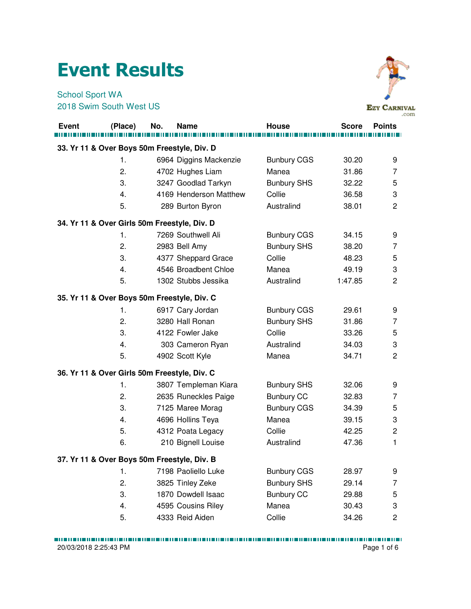## Event Results

## School Sport WA 2018 Swim South West US



|       |                                              |     |                        |                    |              | .com           |
|-------|----------------------------------------------|-----|------------------------|--------------------|--------------|----------------|
| Event | (Place)                                      | No. | <b>Name</b>            | <b>House</b>       | <b>Score</b> | <b>Points</b>  |
|       |                                              |     |                        |                    |              |                |
|       | 33. Yr 11 & Over Boys 50m Freestyle, Div. D  |     |                        |                    |              |                |
|       | 1.                                           |     | 6964 Diggins Mackenzie | <b>Bunbury CGS</b> | 30.20        | 9              |
|       | 2.                                           |     | 4702 Hughes Liam       | Manea              | 31.86        | 7              |
|       | 3.                                           |     | 3247 Goodlad Tarkyn    | <b>Bunbury SHS</b> | 32.22        | 5              |
|       | 4.                                           |     | 4169 Henderson Matthew | Collie             | 36.58        | 3              |
|       | 5.                                           |     | 289 Burton Byron       | Australind         | 38.01        | 2              |
|       | 34. Yr 11 & Over Girls 50m Freestyle, Div. D |     |                        |                    |              |                |
|       | 1.                                           |     | 7269 Southwell Ali     | <b>Bunbury CGS</b> | 34.15        | 9              |
|       | 2.                                           |     | 2983 Bell Amy          | <b>Bunbury SHS</b> | 38.20        | 7              |
|       | 3.                                           |     | 4377 Sheppard Grace    | Collie             | 48.23        | 5              |
|       | 4.                                           |     | 4546 Broadbent Chloe   | Manea              | 49.19        | 3              |
|       | 5.                                           |     | 1302 Stubbs Jessika    | Australind         | 1:47.85      | 2              |
|       | 35. Yr 11 & Over Boys 50m Freestyle, Div. C  |     |                        |                    |              |                |
|       | 1.                                           |     | 6917 Cary Jordan       | <b>Bunbury CGS</b> | 29.61        | 9              |
|       | 2.                                           |     | 3280 Hall Ronan        | <b>Bunbury SHS</b> | 31.86        | $\overline{7}$ |
|       | 3.                                           |     | 4122 Fowler Jake       | Collie             | 33.26        | 5              |
|       | 4.                                           |     | 303 Cameron Ryan       | Australind         | 34.03        | 3              |
|       | 5.                                           |     | 4902 Scott Kyle        | Manea              | 34.71        | 2              |
|       | 36. Yr 11 & Over Girls 50m Freestyle, Div. C |     |                        |                    |              |                |
|       | 1.                                           |     | 3807 Templeman Kiara   | <b>Bunbury SHS</b> | 32.06        | 9              |
|       | 2.                                           |     | 2635 Runeckles Paige   | <b>Bunbury CC</b>  | 32.83        | 7              |
|       | 3.                                           |     | 7125 Maree Morag       | <b>Bunbury CGS</b> | 34.39        | 5              |
|       | 4.                                           |     | 4696 Hollins Teya      | Manea              | 39.15        | 3              |
|       | 5.                                           |     | 4312 Poata Legacy      | Collie             | 42.25        | 2              |
|       | 6.                                           |     | 210 Bignell Louise     | Australind         | 47.36        | 1              |
|       | 37. Yr 11 & Over Boys 50m Freestyle, Div. B  |     |                        |                    |              |                |
|       | $\mathbf{1}$ .                               |     | 7198 Paoliello Luke    | <b>Bunbury CGS</b> | 28.97        | 9              |
|       | 2.                                           |     | 3825 Tinley Zeke       | <b>Bunbury SHS</b> | 29.14        | 7              |
|       | 3.                                           |     | 1870 Dowdell Isaac     | <b>Bunbury CC</b>  | 29.88        | 5              |
|       | 4.                                           |     | 4595 Cousins Riley     | Manea              | 30.43        | 3              |
|       | 5.                                           |     | 4333 Reid Aiden        | Collie             | 34.26        | 2              |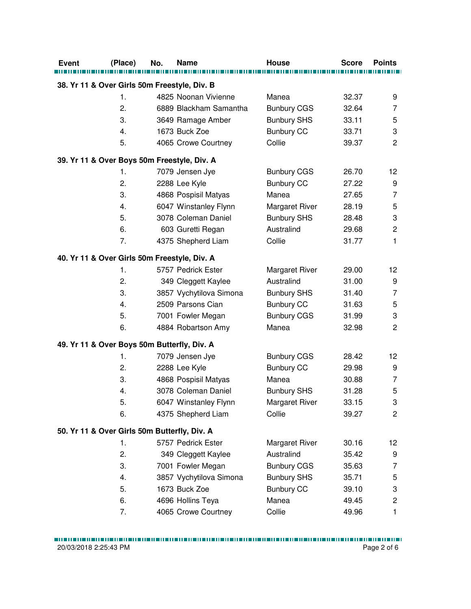| <b>Event</b> | (Place)                                      | No. | Name                    | <b>House</b>          | <b>Score</b> | <b>Points</b>           |
|--------------|----------------------------------------------|-----|-------------------------|-----------------------|--------------|-------------------------|
|              | 38. Yr 11 & Over Girls 50m Freestyle, Div. B |     |                         |                       |              |                         |
|              | $\mathbf 1$ .                                |     | 4825 Noonan Vivienne    | Manea                 | 32.37        | 9                       |
|              | 2.                                           |     | 6889 Blackham Samantha  | <b>Bunbury CGS</b>    | 32.64        | 7                       |
|              | 3.                                           |     | 3649 Ramage Amber       | <b>Bunbury SHS</b>    | 33.11        | 5                       |
|              | 4.                                           |     | 1673 Buck Zoe           | <b>Bunbury CC</b>     | 33.71        | 3                       |
|              | 5.                                           |     | 4065 Crowe Courtney     | Collie                | 39.37        | $\overline{2}$          |
|              | 39. Yr 11 & Over Boys 50m Freestyle, Div. A  |     |                         |                       |              |                         |
|              | 1.                                           |     | 7079 Jensen Jye         | <b>Bunbury CGS</b>    | 26.70        | 12                      |
|              | 2.                                           |     | 2288 Lee Kyle           | <b>Bunbury CC</b>     | 27.22        | 9                       |
|              | 3.                                           |     | 4868 Pospisil Matyas    | Manea                 | 27.65        | $\overline{7}$          |
|              | 4.                                           |     | 6047 Winstanley Flynn   | <b>Margaret River</b> | 28.19        | 5                       |
|              | 5.                                           |     | 3078 Coleman Daniel     | <b>Bunbury SHS</b>    | 28.48        | 3                       |
|              | 6.                                           |     | 603 Guretti Regan       | Australind            | 29.68        | $\overline{\mathbf{c}}$ |
|              | 7.                                           |     | 4375 Shepherd Liam      | Collie                | 31.77        | 1                       |
|              | 40. Yr 11 & Over Girls 50m Freestyle, Div. A |     |                         |                       |              |                         |
|              | 1.                                           |     | 5757 Pedrick Ester      | <b>Margaret River</b> | 29.00        | 12                      |
|              | 2.                                           |     | 349 Cleggett Kaylee     | Australind            | 31.00        | 9                       |
|              | 3.                                           |     | 3857 Vychytilova Simona | <b>Bunbury SHS</b>    | 31.40        | $\overline{7}$          |
|              | 4.                                           |     | 2509 Parsons Cian       | <b>Bunbury CC</b>     | 31.63        | 5                       |
|              | 5.                                           |     | 7001 Fowler Megan       | <b>Bunbury CGS</b>    | 31.99        | 3                       |
|              | 6.                                           |     | 4884 Robartson Amy      | Manea                 | 32.98        | $\overline{2}$          |
|              | 49. Yr 11 & Over Boys 50m Butterfly, Div. A  |     |                         |                       |              |                         |
|              | 1.                                           |     | 7079 Jensen Jye         | <b>Bunbury CGS</b>    | 28.42        | 12                      |
|              | 2.                                           |     | 2288 Lee Kyle           | <b>Bunbury CC</b>     | 29.98        | 9                       |
|              | 3.                                           |     | 4868 Pospisil Matyas    | Manea                 | 30.88        | $\overline{7}$          |
|              | 4.                                           |     | 3078 Coleman Daniel     | <b>Bunbury SHS</b>    | 31.28        | 5                       |
|              | 5.                                           |     | 6047 Winstanley Flynn   | <b>Margaret River</b> | 33.15        | 3                       |
|              | 6.                                           |     | 4375 Shepherd Liam      | Collie                | 39.27        | $\overline{c}$          |
|              | 50. Yr 11 & Over Girls 50m Butterfly, Div. A |     |                         |                       |              |                         |
|              | 1.                                           |     | 5757 Pedrick Ester      | <b>Margaret River</b> | 30.16        | 12                      |
|              | 2.                                           |     | 349 Cleggett Kaylee     | Australind            | 35.42        | 9                       |
|              | 3.                                           |     | 7001 Fowler Megan       | <b>Bunbury CGS</b>    | 35.63        | 7                       |
|              | 4.                                           |     | 3857 Vychytilova Simona | <b>Bunbury SHS</b>    | 35.71        | 5                       |
|              | 5.                                           |     | 1673 Buck Zoe           | <b>Bunbury CC</b>     | 39.10        | 3                       |
|              | 6.                                           |     | 4696 Hollins Teya       | Manea                 | 49.45        | 2                       |
|              | 7.                                           |     | 4065 Crowe Courtney     | Collie                | 49.96        | 1                       |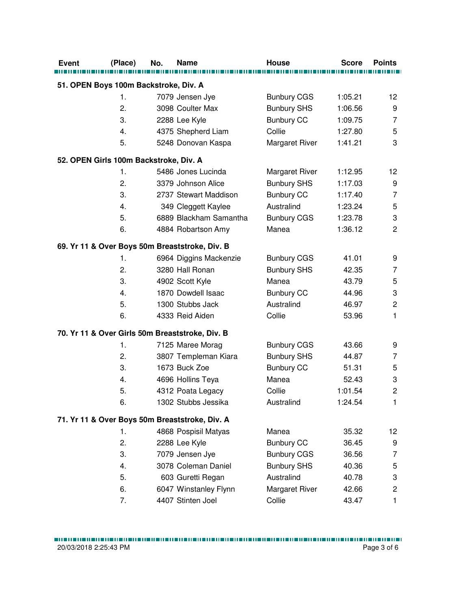| <b>Event</b>                           | (Place)        | No. | <b>Name</b>                                     | <b>House</b>          | <b>Score</b> | <b>Points</b>           |
|----------------------------------------|----------------|-----|-------------------------------------------------|-----------------------|--------------|-------------------------|
| 51. OPEN Boys 100m Backstroke, Div. A  |                |     |                                                 |                       |              |                         |
|                                        | $\mathbf{1}$ . |     | 7079 Jensen Jye                                 | <b>Bunbury CGS</b>    | 1:05.21      | 12                      |
|                                        | 2.             |     | 3098 Coulter Max                                | <b>Bunbury SHS</b>    | 1:06.56      | 9                       |
|                                        | 3.             |     | 2288 Lee Kyle                                   | <b>Bunbury CC</b>     | 1:09.75      | $\overline{7}$          |
|                                        | 4.             |     | 4375 Shepherd Liam                              | Collie                | 1:27.80      | 5                       |
|                                        | 5.             |     | 5248 Donovan Kaspa                              | Margaret River        | 1:41.21      | 3                       |
| 52. OPEN Girls 100m Backstroke, Div. A |                |     |                                                 |                       |              |                         |
|                                        | 1.             |     | 5486 Jones Lucinda                              | <b>Margaret River</b> | 1:12.95      | 12                      |
|                                        | 2.             |     | 3379 Johnson Alice                              | <b>Bunbury SHS</b>    | 1:17.03      | 9                       |
|                                        | 3.             |     | 2737 Stewart Maddison                           | <b>Bunbury CC</b>     | 1:17.40      | $\overline{7}$          |
|                                        | 4.             |     | 349 Cleggett Kaylee                             | Australind            | 1:23.24      | 5                       |
|                                        | 5.             |     | 6889 Blackham Samantha                          | <b>Bunbury CGS</b>    | 1:23.78      | 3                       |
|                                        | 6.             |     | 4884 Robartson Amy                              | Manea                 | 1:36.12      | $\overline{2}$          |
|                                        |                |     | 69. Yr 11 & Over Boys 50m Breaststroke, Div. B  |                       |              |                         |
|                                        | 1.             |     | 6964 Diggins Mackenzie                          | <b>Bunbury CGS</b>    | 41.01        | 9                       |
|                                        | 2.             |     | 3280 Hall Ronan                                 | <b>Bunbury SHS</b>    | 42.35        | 7                       |
|                                        | 3.             |     | 4902 Scott Kyle                                 | Manea                 | 43.79        | 5                       |
|                                        | 4.             |     | 1870 Dowdell Isaac                              | <b>Bunbury CC</b>     | 44.96        | 3                       |
|                                        | 5.             |     | 1300 Stubbs Jack                                | Australind            | 46.97        | $\overline{c}$          |
|                                        | 6.             |     | 4333 Reid Aiden                                 | Collie                | 53.96        | 1                       |
|                                        |                |     | 70. Yr 11 & Over Girls 50m Breaststroke, Div. B |                       |              |                         |
|                                        | 1.             |     | 7125 Maree Morag                                | <b>Bunbury CGS</b>    | 43.66        | 9                       |
|                                        | 2.             |     | 3807 Templeman Kiara                            | <b>Bunbury SHS</b>    | 44.87        | $\overline{7}$          |
|                                        | 3.             |     | 1673 Buck Zoe                                   | <b>Bunbury CC</b>     | 51.31        | 5                       |
|                                        | 4.             |     | 4696 Hollins Teya                               | Manea                 | 52.43        | 3                       |
|                                        | 5.             |     | 4312 Poata Legacy                               | Collie                | 1:01.54      | $\overline{c}$          |
|                                        | 6.             |     | 1302 Stubbs Jessika                             | Australind            | 1:24.54      | 1                       |
|                                        |                |     | 71. Yr 11 & Over Boys 50m Breaststroke, Div. A  |                       |              |                         |
|                                        | 1.             |     | 4868 Pospisil Matyas                            | Manea                 | 35.32        | 12                      |
|                                        | 2.             |     | 2288 Lee Kyle                                   | <b>Bunbury CC</b>     | 36.45        | 9                       |
|                                        | 3.             |     | 7079 Jensen Jye                                 | <b>Bunbury CGS</b>    | 36.56        | 7                       |
|                                        | 4.             |     | 3078 Coleman Daniel                             | <b>Bunbury SHS</b>    | 40.36        | 5                       |
|                                        | 5.             |     | 603 Guretti Regan                               | Australind            | 40.78        | 3                       |
|                                        | 6.             |     | 6047 Winstanley Flynn                           | Margaret River        | 42.66        | $\overline{\mathbf{c}}$ |
|                                        | 7.             |     | 4407 Stinten Joel                               | Collie                | 43.47        | 1                       |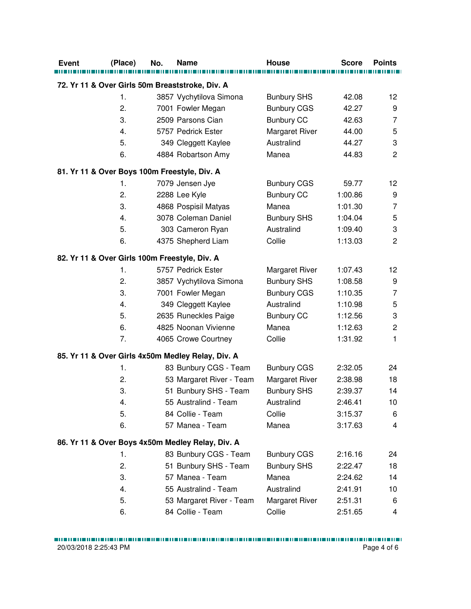| <b>Event</b><br>(Place)                           | No. | <b>Name</b>              | <b>House</b>          | <b>Score</b> | <b>Points</b>   |
|---------------------------------------------------|-----|--------------------------|-----------------------|--------------|-----------------|
|                                                   |     |                          |                       |              |                 |
| 72. Yr 11 & Over Girls 50m Breaststroke, Div. A   |     |                          |                       |              |                 |
| 1.                                                |     | 3857 Vychytilova Simona  | <b>Bunbury SHS</b>    | 42.08        | 12              |
| 2.                                                |     | 7001 Fowler Megan        | <b>Bunbury CGS</b>    | 42.27        | 9               |
| 3.                                                |     | 2509 Parsons Cian        | <b>Bunbury CC</b>     | 42.63        | $\overline{7}$  |
| 4.                                                |     | 5757 Pedrick Ester       | Margaret River        | 44.00        | 5               |
| 5.                                                |     | 349 Cleggett Kaylee      | Australind            | 44.27        | 3               |
| 6.                                                |     | 4884 Robartson Amy       | Manea                 | 44.83        | $\overline{c}$  |
| 81. Yr 11 & Over Boys 100m Freestyle, Div. A      |     |                          |                       |              |                 |
| 1.                                                |     | 7079 Jensen Jye          | <b>Bunbury CGS</b>    | 59.77        | 12              |
| 2.                                                |     | 2288 Lee Kyle            | <b>Bunbury CC</b>     | 1:00.86      | 9               |
| 3.                                                |     | 4868 Pospisil Matyas     | Manea                 | 1:01.30      | $\overline{7}$  |
| 4.                                                |     | 3078 Coleman Daniel      | <b>Bunbury SHS</b>    | 1:04.04      | 5               |
| 5.                                                |     | 303 Cameron Ryan         | Australind            | 1:09.40      | 3               |
| 6.                                                |     | 4375 Shepherd Liam       | Collie                | 1:13.03      | $\overline{c}$  |
| 82. Yr 11 & Over Girls 100m Freestyle, Div. A     |     |                          |                       |              |                 |
| 1.                                                |     | 5757 Pedrick Ester       | <b>Margaret River</b> | 1:07.43      | 12              |
| 2.                                                |     | 3857 Vychytilova Simona  | <b>Bunbury SHS</b>    | 1:08.58      | 9               |
| 3.                                                |     | 7001 Fowler Megan        | <b>Bunbury CGS</b>    | 1:10.35      | $\overline{7}$  |
| 4.                                                |     | 349 Cleggett Kaylee      | Australind            | 1:10.98      | 5               |
| 5.                                                |     | 2635 Runeckles Paige     | <b>Bunbury CC</b>     | 1:12.56      | 3               |
| 6.                                                |     | 4825 Noonan Vivienne     | Manea                 | 1:12.63      | $\overline{c}$  |
| 7.                                                |     | 4065 Crowe Courtney      | Collie                | 1:31.92      | $\mathbf{1}$    |
| 85. Yr 11 & Over Girls 4x50m Medley Relay, Div. A |     |                          |                       |              |                 |
| 1.                                                |     | 83 Bunbury CGS - Team    | <b>Bunbury CGS</b>    | 2:32.05      | 24              |
| 2.                                                |     | 53 Margaret River - Team | Margaret River        | 2:38.98      | 18              |
| 3.                                                |     | 51 Bunbury SHS - Team    | <b>Bunbury SHS</b>    | 2:39.37      | 14              |
| 4.                                                |     | 55 Australind - Team     | Australind            | 2:46.41      | 10 <sub>1</sub> |
| 5.                                                |     | 84 Collie - Team         | Collie                | 3:15.37      | 6               |
| 6.                                                |     | 57 Manea - Team          | Manea                 | 3:17.63      | 4               |
| 86. Yr 11 & Over Boys 4x50m Medley Relay, Div. A  |     |                          |                       |              |                 |
| 1.                                                |     | 83 Bunbury CGS - Team    | <b>Bunbury CGS</b>    | 2:16.16      | 24              |
| 2.                                                |     | 51 Bunbury SHS - Team    | <b>Bunbury SHS</b>    | 2:22.47      | 18              |
| 3.                                                |     | 57 Manea - Team          | Manea                 | 2:24.62      | 14              |
| 4.                                                |     | 55 Australind - Team     | Australind            | 2:41.91      | 10              |
| 5.                                                |     | 53 Margaret River - Team | <b>Margaret River</b> | 2:51.31      | 6               |
| 6.                                                |     | 84 Collie - Team         | Collie                | 2:51.65      | 4               |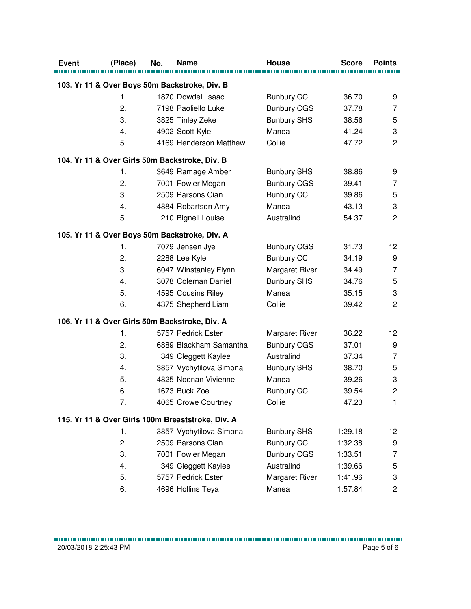| <b>Event</b> | (Place) | No. | <b>Name</b>                                       | <b>House</b>          | <b>Score</b> | <b>Points</b>           |
|--------------|---------|-----|---------------------------------------------------|-----------------------|--------------|-------------------------|
|              |         |     |                                                   |                       |              |                         |
|              |         |     | 103. Yr 11 & Over Boys 50m Backstroke, Div. B     |                       |              |                         |
|              | 1.      |     | 1870 Dowdell Isaac                                | <b>Bunbury CC</b>     | 36.70        | 9                       |
|              | 2.      |     | 7198 Paoliello Luke                               | <b>Bunbury CGS</b>    | 37.78        | $\overline{7}$          |
|              | 3.      |     | 3825 Tinley Zeke                                  | <b>Bunbury SHS</b>    | 38.56        | 5                       |
|              | 4.      |     | 4902 Scott Kyle                                   | Manea                 | 41.24        | 3                       |
|              | 5.      |     | 4169 Henderson Matthew                            | Collie                | 47.72        | $\overline{c}$          |
|              |         |     | 104. Yr 11 & Over Girls 50m Backstroke, Div. B    |                       |              |                         |
|              | 1.      |     | 3649 Ramage Amber                                 | <b>Bunbury SHS</b>    | 38.86        | 9                       |
|              | 2.      |     | 7001 Fowler Megan                                 | <b>Bunbury CGS</b>    | 39.41        | 7                       |
|              | 3.      |     | 2509 Parsons Cian                                 | <b>Bunbury CC</b>     | 39.86        | 5                       |
|              | 4.      |     | 4884 Robartson Amy                                | Manea                 | 43.13        | 3                       |
|              | 5.      |     | 210 Bignell Louise                                | Australind            | 54.37        | $\overline{c}$          |
|              |         |     | 105. Yr 11 & Over Boys 50m Backstroke, Div. A     |                       |              |                         |
|              | 1.      |     | 7079 Jensen Jye                                   | <b>Bunbury CGS</b>    | 31.73        | 12                      |
|              | 2.      |     | 2288 Lee Kyle                                     | <b>Bunbury CC</b>     | 34.19        | 9                       |
|              | 3.      |     | 6047 Winstanley Flynn                             | <b>Margaret River</b> | 34.49        | $\overline{7}$          |
|              | 4.      |     | 3078 Coleman Daniel                               | <b>Bunbury SHS</b>    | 34.76        | 5                       |
|              | 5.      |     | 4595 Cousins Riley                                | Manea                 | 35.15        | 3                       |
|              | 6.      |     | 4375 Shepherd Liam                                | Collie                | 39.42        | $\overline{c}$          |
|              |         |     | 106. Yr 11 & Over Girls 50m Backstroke, Div. A    |                       |              |                         |
|              | 1.      |     | 5757 Pedrick Ester                                | <b>Margaret River</b> | 36.22        | 12                      |
|              | 2.      |     | 6889 Blackham Samantha                            | <b>Bunbury CGS</b>    | 37.01        | 9                       |
|              | 3.      |     | 349 Cleggett Kaylee                               | Australind            | 37.34        | 7                       |
|              | 4.      |     | 3857 Vychytilova Simona                           | <b>Bunbury SHS</b>    | 38.70        | 5                       |
|              | 5.      |     | 4825 Noonan Vivienne                              | Manea                 | 39.26        | 3                       |
|              | 6.      |     | 1673 Buck Zoe                                     | <b>Bunbury CC</b>     | 39.54        | $\overline{c}$          |
|              | 7.      |     | 4065 Crowe Courtney                               | Collie                | 47.23        | $\mathbf{1}$            |
|              |         |     | 115. Yr 11 & Over Girls 100m Breaststroke, Div. A |                       |              |                         |
|              | 1.      |     | 3857 Vychytilova Simona                           | <b>Bunbury SHS</b>    | 1:29.18      | 12                      |
|              | 2.      |     | 2509 Parsons Cian                                 | <b>Bunbury CC</b>     | 1:32.38      | 9                       |
|              | 3.      |     | 7001 Fowler Megan                                 | <b>Bunbury CGS</b>    | 1:33.51      | 7                       |
|              | 4.      |     | 349 Cleggett Kaylee                               | Australind            | 1:39.66      | 5                       |
|              | 5.      |     | 5757 Pedrick Ester                                | Margaret River        | 1:41.96      | 3                       |
|              | 6.      |     | 4696 Hollins Teya                                 | Manea                 | 1:57.84      | $\overline{\mathbf{c}}$ |